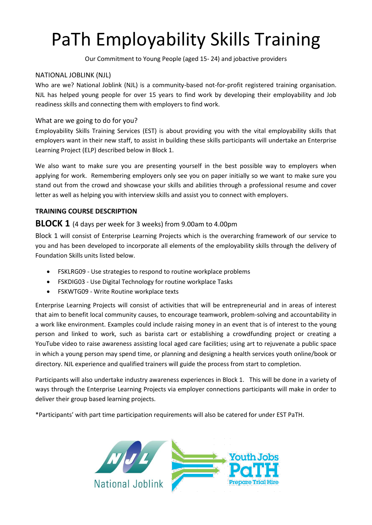# PaTh Employability Skills Training

Our Commitment to Young People (aged 15- 24) and jobactive providers

## NATIONAL JOBLINK (NJL)

Who are we? National Joblink (NJL) is a community-based not-for-profit registered training organisation. NJL has helped young people for over 15 years to find work by developing their employability and Job readiness skills and connecting them with employers to find work.

# What are we going to do for you?

Employability Skills Training Services (EST) is about providing you with the vital employability skills that employers want in their new staff, to assist in building these skills participants will undertake an Enterprise Learning Project (ELP) described below in Block 1.

We also want to make sure you are presenting yourself in the best possible way to employers when applying for work. Remembering employers only see you on paper initially so we want to make sure you stand out from the crowd and showcase your skills and abilities through a professional resume and cover letter as well as helping you with interview skills and assist you to connect with employers.

# **TRAINING COURSE DESCRIPTION**

# **BLOCK 1** (4 days per week for 3 weeks) from 9.00am to 4.00pm

Block 1 will consist of Enterprise Learning Projects which is the overarching framework of our service to you and has been developed to incorporate all elements of the employability skills through the delivery of Foundation Skills units listed below.

- FSKLRG09 Use strategies to respond to routine workplace problems
- FSKDIG03 Use Digital Technology for routine workplace Tasks
- FSKWTG09 Write Routine workplace texts

Enterprise Learning Projects will consist of activities that will be entrepreneurial and in areas of interest that aim to benefit local community causes, to encourage teamwork, problem-solving and accountability in a work like environment. Examples could include raising money in an event that is of interest to the young person and linked to work, such as barista cart or establishing a crowdfunding project or creating a YouTube video to raise awareness assisting local aged care facilities; using art to rejuvenate a public space in which a young person may spend time, or planning and designing a health services youth online/book or directory. NJL experience and qualified trainers will guide the process from start to completion.

Participants will also undertake industry awareness experiences in Block 1. This will be done in a variety of ways through the Enterprise Learning Projects via employer connections participants will make in order to deliver their group based learning projects.

\*Participants' with part time participation requirements will also be catered for under EST PaTH.

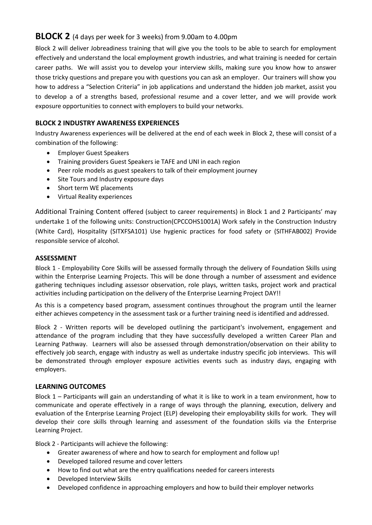# **BLOCK 2** (4 days per week for 3 weeks) from 9.00am to 4.00pm

Block 2 will deliver Jobreadiness training that will give you the tools to be able to search for employment effectively and understand the local employment growth industries, and what training is needed for certain career paths. We will assist you to develop your interview skills, making sure you know how to answer those tricky questions and prepare you with questions you can ask an employer. Our trainers will show you how to address a "Selection Criteria" in job applications and understand the hidden job market, assist you to develop a of a strengths based, professional resume and a cover letter, and we will provide work exposure opportunities to connect with employers to build your networks.

### **BLOCK 2 INDUSTRY AWARENESS EXPERIENCES**

Industry Awareness experiences will be delivered at the end of each week in Block 2, these will consist of a combination of the following:

- Employer Guest Speakers
- Training providers Guest Speakers ie TAFE and UNI in each region
- Peer role models as guest speakers to talk of their employment journey
- Site Tours and Industry exposure days
- Short term WE placements
- Virtual Reality experiences

Additional Training Content offered (subject to career requirements) in Block 1 and 2 Participants' may undertake 1 of the following units: Construction(CPCCOHS1001A) Work safely in the Construction Industry (White Card), Hospitality (SITXFSA101) Use hygienic practices for food safety or (SITHFAB002) Provide responsible service of alcohol.

#### **ASSESSMENT**

Block 1 - Employability Core Skills will be assessed formally through the delivery of Foundation Skills using within the Enterprise Learning Projects. This will be done through a number of assessment and evidence gathering techniques including assessor observation, role plays, written tasks, project work and practical activities including participation on the delivery of the Enterprise Learning Project DAY!!

As this is a competency based program, assessment continues throughout the program until the learner either achieves competency in the assessment task or a further training need is identified and addressed.

Block 2 - Written reports will be developed outlining the participant's involvement, engagement and attendance of the program including that they have successfully developed a written Career Plan and Learning Pathway. Learners will also be assessed through demonstration/observation on their ability to effectively job search, engage with industry as well as undertake industry specific job interviews. This will be demonstrated through employer exposure activities events such as industry days, engaging with employers.

#### **LEARNING OUTCOMES**

Block 1 – Participants will gain an understanding of what it is like to work in a team environment, how to communicate and operate effectively in a range of ways through the planning, execution, delivery and evaluation of the Enterprise Learning Project (ELP) developing their employability skills for work. They will develop their core skills through learning and assessment of the foundation skills via the Enterprise Learning Project.

Block 2 - Participants will achieve the following:

- Greater awareness of where and how to search for employment and follow up!
- Developed tailored resume and cover letters
- How to find out what are the entry qualifications needed for careers interests
- Developed Interview Skills
- Developed confidence in approaching employers and how to build their employer networks